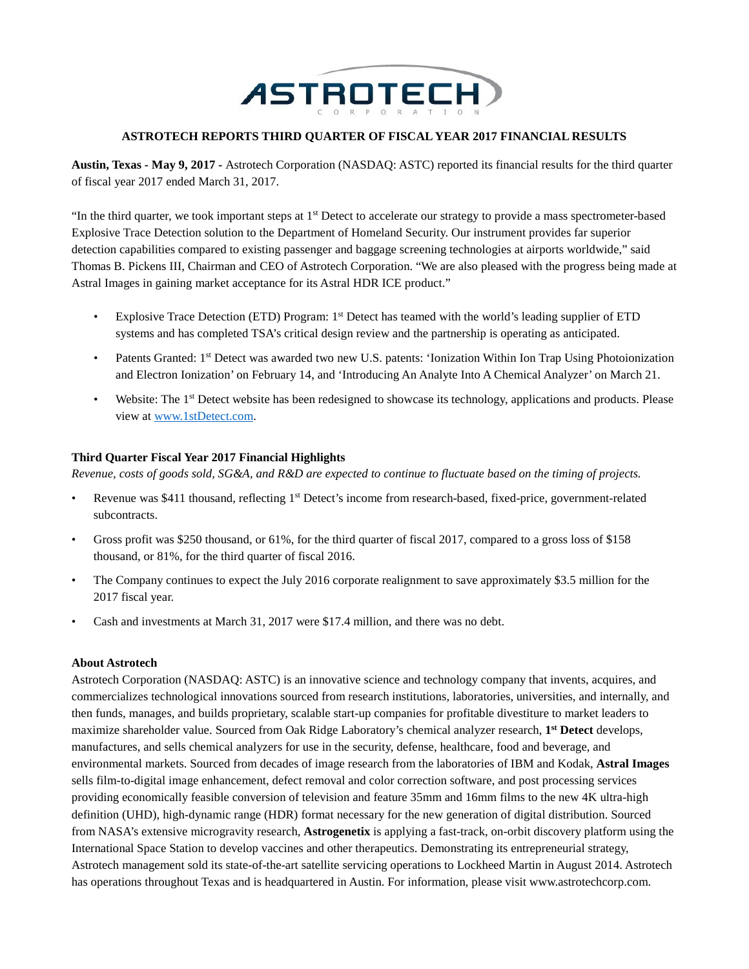

#### **ASTROTECH REPORTS THIRD QUARTER OF FISCAL YEAR 2017 FINANCIAL RESULTS**

**Austin, Texas - May 9, 2017 -** Astrotech Corporation (NASDAQ: ASTC) reported its financial results for the third quarter of fiscal year 2017 ended March 31, 2017.

"In the third quarter, we took important steps at 1<sup>st</sup> Detect to accelerate our strategy to provide a mass spectrometer-based Explosive Trace Detection solution to the Department of Homeland Security. Our instrument provides far superior detection capabilities compared to existing passenger and baggage screening technologies at airports worldwide," said Thomas B. Pickens III, Chairman and CEO of Astrotech Corporation. "We are also pleased with the progress being made at Astral Images in gaining market acceptance for its Astral HDR ICE product."

- Explosive Trace Detection (ETD) Program: 1<sup>st</sup> Detect has teamed with the world's leading supplier of ETD systems and has completed TSA's critical design review and the partnership is operating as anticipated.
- Patents Granted: 1<sup>st</sup> Detect was awarded two new U.S. patents: 'Ionization Within Ion Trap Using Photoionization and Electron Ionization' on February 14, and 'Introducing An Analyte Into A Chemical Analyzer' on March 21.
- Website: The 1<sup>st</sup> Detect website has been redesigned to showcase its technology, applications and products. Please view at [www.1stDetect.com.](http://www.1stdetect.com/?utm_campaign=2017-pr&utm_source=astc&utm_medium=businesswire&utm_content=20170509-q3-results)

### **Third Quarter Fiscal Year 2017 Financial Highlights**

*Revenue, costs of goods sold, SG&A, and R&D are expected to continue to fluctuate based on the timing of projects.*

- Revenue was \$411 thousand, reflecting 1<sup>st</sup> Detect's income from research-based, fixed-price, government-related subcontracts.
- Gross profit was \$250 thousand, or 61%, for the third quarter of fiscal 2017, compared to a gross loss of \$158 thousand, or 81%, for the third quarter of fiscal 2016.
- The Company continues to expect the July 2016 corporate realignment to save approximately \$3.5 million for the 2017 fiscal year.
- Cash and investments at March 31, 2017 were \$17.4 million, and there was no debt.

#### **About Astrotech**

Astrotech Corporation (NASDAQ: ASTC) is an innovative science and technology company that invents, acquires, and commercializes technological innovations sourced from research institutions, laboratories, universities, and internally, and then funds, manages, and builds proprietary, scalable start-up companies for profitable divestiture to market leaders to maximize shareholder value. Sourced from Oak Ridge Laboratory's chemical analyzer research, **1st Detect** develops, manufactures, and sells chemical analyzers for use in the security, defense, healthcare, food and beverage, and environmental markets. Sourced from decades of image research from the laboratories of IBM and Kodak, **Astral Images** sells film-to-digital image enhancement, defect removal and color correction software, and post processing services providing economically feasible conversion of television and feature 35mm and 16mm films to the new 4K ultra-high definition (UHD), high-dynamic range (HDR) format necessary for the new generation of digital distribution. Sourced from NASA's extensive microgravity research, **Astrogenetix** is applying a fast-track, on-orbit discovery platform using the International Space Station to develop vaccines and other therapeutics. Demonstrating its entrepreneurial strategy, Astrotech management sold its state-of-the-art satellite servicing operations to Lockheed Martin in August 2014. Astrotech has operations throughout Texas and is headquartered in Austin. For information, please visit www.astrotechcorp.com.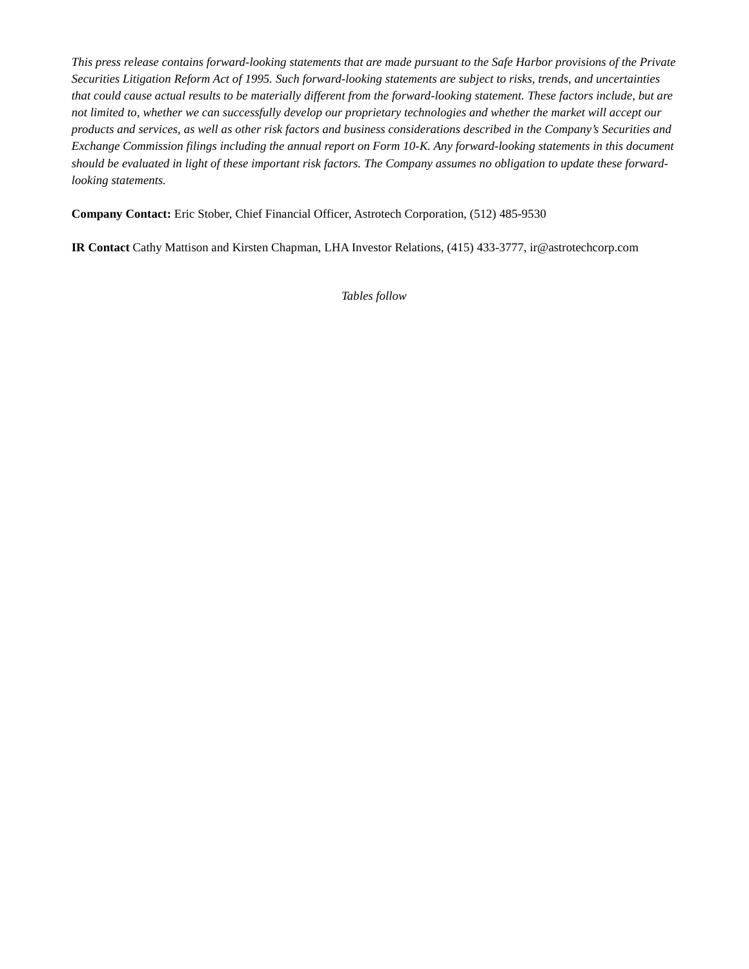*This press release contains forward-looking statements that are made pursuant to the Safe Harbor provisions of the Private Securities Litigation Reform Act of 1995. Such forward-looking statements are subject to risks, trends, and uncertainties that could cause actual results to be materially different from the forward-looking statement. These factors include, but are not limited to, whether we can successfully develop our proprietary technologies and whether the market will accept our products and services, as well as other risk factors and business considerations described in the Company's Securities and Exchange Commission filings including the annual report on Form 10-K. Any forward-looking statements in this document should be evaluated in light of these important risk factors. The Company assumes no obligation to update these forwardlooking statements.*

**Company Contact:** Eric Stober, Chief Financial Officer, Astrotech Corporation, (512) 485-9530

**IR Contact** Cathy Mattison and Kirsten Chapman, LHA Investor Relations, (415) 433-3777, ir@astrotechcorp.com

*Tables follow*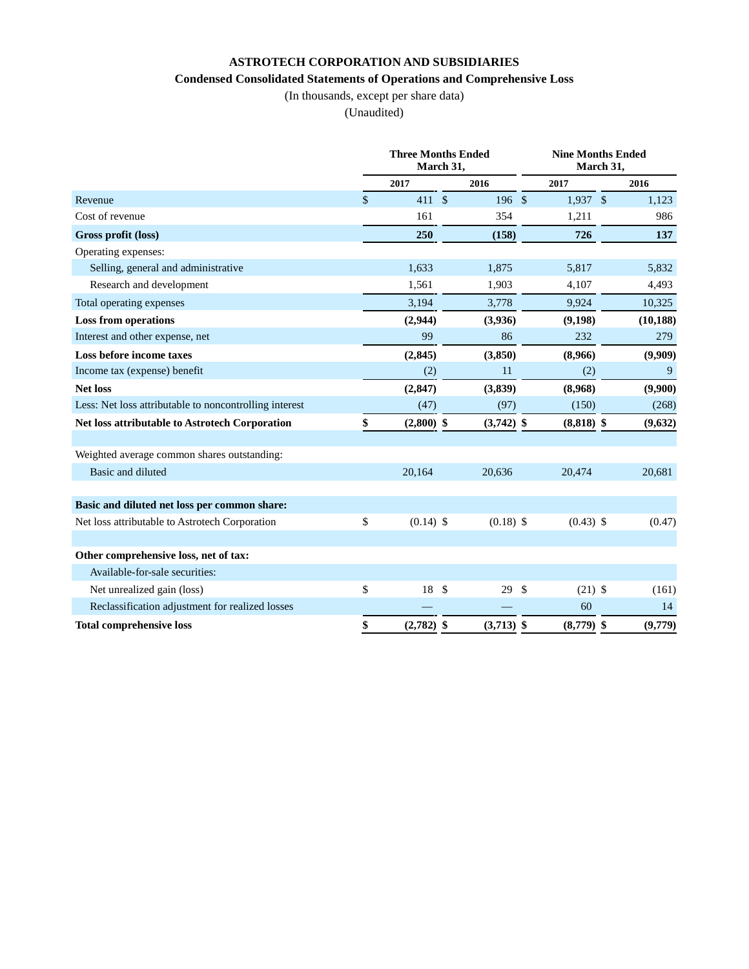# **ASTROTECH CORPORATION AND SUBSIDIARIES**

### **Condensed Consolidated Statements of Operations and Comprehensive Loss**

(In thousands, except per share data)

(Unaudited)

|                                                        | <b>Three Months Ended</b><br>March 31, |  |              |     | <b>Nine Months Ended</b><br>March 31, |  |           |  |
|--------------------------------------------------------|----------------------------------------|--|--------------|-----|---------------------------------------|--|-----------|--|
|                                                        | 2017                                   |  | 2016         |     | 2017                                  |  | 2016      |  |
| Revenue                                                | \$<br>411S                             |  | 196S         |     | $1,937$ \$                            |  | 1,123     |  |
| Cost of revenue                                        | 161                                    |  | 354          |     | 1,211                                 |  | 986       |  |
| Gross profit (loss)                                    | 250                                    |  | (158)        |     | 726                                   |  | 137       |  |
| Operating expenses:                                    |                                        |  |              |     |                                       |  |           |  |
| Selling, general and administrative                    | 1,633                                  |  | 1,875        |     | 5,817                                 |  | 5,832     |  |
| Research and development                               | 1,561                                  |  | 1,903        |     | 4,107                                 |  | 4,493     |  |
| Total operating expenses                               | 3,194                                  |  | 3,778        |     | 9,924                                 |  | 10,325    |  |
| <b>Loss from operations</b>                            | (2,944)                                |  | (3,936)      |     | (9,198)                               |  | (10, 188) |  |
| Interest and other expense, net                        | 99                                     |  | 86           |     | 232                                   |  | 279       |  |
| Loss before income taxes                               | (2, 845)                               |  | (3, 850)     |     | (8,966)                               |  | (9,909)   |  |
| Income tax (expense) benefit                           | (2)                                    |  | 11           |     | (2)                                   |  | 9         |  |
| <b>Net loss</b>                                        | (2, 847)                               |  | (3,839)      |     | (8,968)                               |  | (9,900)   |  |
| Less: Net loss attributable to noncontrolling interest | (47)                                   |  | (97)         |     | (150)                                 |  | (268)     |  |
| <b>Net loss attributable to Astrotech Corporation</b>  | \$<br>$(2,800)$ \$                     |  | $(3,742)$ \$ |     | $(8,818)$ \$                          |  | (9,632)   |  |
| Weighted average common shares outstanding:            |                                        |  |              |     |                                       |  |           |  |
| Basic and diluted                                      | 20,164                                 |  | 20,636       |     | 20,474                                |  | 20,681    |  |
| Basic and diluted net loss per common share:           |                                        |  |              |     |                                       |  |           |  |
| Net loss attributable to Astrotech Corporation         | \$<br>$(0.14)$ \$                      |  | $(0.18)$ \$  |     | $(0.43)$ \$                           |  | (0.47)    |  |
| Other comprehensive loss, net of tax:                  |                                        |  |              |     |                                       |  |           |  |
| Available-for-sale securities:                         |                                        |  |              |     |                                       |  |           |  |
| Net unrealized gain (loss)                             | \$<br>$18 \quad$                       |  | 29           | -\$ | $(21)$ \$                             |  | (161)     |  |
| Reclassification adjustment for realized losses        |                                        |  |              |     | 60                                    |  | 14        |  |
| <b>Total comprehensive loss</b>                        | \$<br>$(2,782)$ \$                     |  | $(3,713)$ \$ |     | $(8,779)$ \$                          |  | (9,779)   |  |